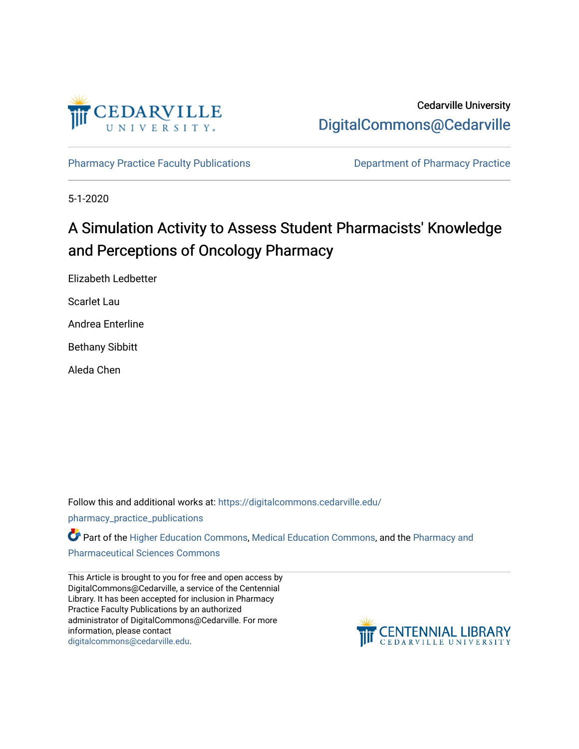

Cedarville University [DigitalCommons@Cedarville](https://digitalcommons.cedarville.edu/) 

[Pharmacy Practice Faculty Publications](https://digitalcommons.cedarville.edu/pharmacy_practice_publications) **Department of Pharmacy Practice** 

5-1-2020

# A Simulation Activity to Assess Student Pharmacists' Knowledge and Perceptions of Oncology Pharmacy

Elizabeth Ledbetter

Scarlet Lau

Andrea Enterline

Bethany Sibbitt

Aleda Chen

Follow this and additional works at: [https://digitalcommons.cedarville.edu/](https://digitalcommons.cedarville.edu/pharmacy_practice_publications?utm_source=digitalcommons.cedarville.edu%2Fpharmacy_practice_publications%2F413&utm_medium=PDF&utm_campaign=PDFCoverPages)

[pharmacy\\_practice\\_publications](https://digitalcommons.cedarville.edu/pharmacy_practice_publications?utm_source=digitalcommons.cedarville.edu%2Fpharmacy_practice_publications%2F413&utm_medium=PDF&utm_campaign=PDFCoverPages)

Part of the [Higher Education Commons,](http://network.bepress.com/hgg/discipline/1245?utm_source=digitalcommons.cedarville.edu%2Fpharmacy_practice_publications%2F413&utm_medium=PDF&utm_campaign=PDFCoverPages) [Medical Education Commons](http://network.bepress.com/hgg/discipline/1125?utm_source=digitalcommons.cedarville.edu%2Fpharmacy_practice_publications%2F413&utm_medium=PDF&utm_campaign=PDFCoverPages), and the Pharmacy and [Pharmaceutical Sciences Commons](http://network.bepress.com/hgg/discipline/731?utm_source=digitalcommons.cedarville.edu%2Fpharmacy_practice_publications%2F413&utm_medium=PDF&utm_campaign=PDFCoverPages) 

This Article is brought to you for free and open access by DigitalCommons@Cedarville, a service of the Centennial Library. It has been accepted for inclusion in Pharmacy Practice Faculty Publications by an authorized administrator of DigitalCommons@Cedarville. For more information, please contact [digitalcommons@cedarville.edu](mailto:digitalcommons@cedarville.edu).

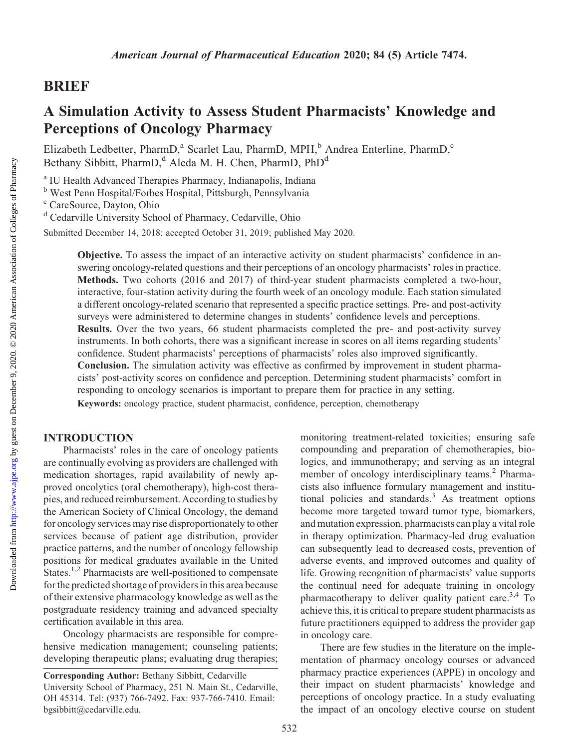### BRIEF

## A Simulation Activity to Assess Student Pharmacists' Knowledge and Perceptions of Oncology Pharmacy

Elizabeth Ledbetter, PharmD,<sup>a</sup> Scarlet Lau, PharmD, MPH,<sup>b</sup> Andrea Enterline, PharmD,<sup>c</sup> Bethany Sibbitt, PharmD,<sup>d</sup> Aleda M. H. Chen, PharmD, PhD<sup>d</sup>

<sup>a</sup> IU Health Advanced Therapies Pharmacy, Indianapolis, Indiana

<sup>b</sup> West Penn Hospital/Forbes Hospital, Pittsburgh, Pennsylvania

<sup>c</sup> CareSource, Dayton, Ohio

<sup>d</sup> Cedarville University School of Pharmacy, Cedarville, Ohio

Submitted December 14, 2018; accepted October 31, 2019; published May 2020.

Objective. To assess the impact of an interactive activity on student pharmacists' confidence in answering oncology-related questions and their perceptions of an oncology pharmacists' roles in practice. Methods. Two cohorts (2016 and 2017) of third-year student pharmacists completed a two-hour, interactive, four-station activity during the fourth week of an oncology module. Each station simulated a different oncology-related scenario that represented a specific practice settings. Pre- and post-activity surveys were administered to determine changes in students' confidence levels and perceptions. Results. Over the two years, 66 student pharmacists completed the pre- and post-activity survey instruments. In both cohorts, there was a significant increase in scores on all items regarding students' confidence. Student pharmacists' perceptions of pharmacists' roles also improved significantly. Conclusion. The simulation activity was effective as confirmed by improvement in student pharmacists' post-activity scores on confidence and perception. Determining student pharmacists' comfort in responding to oncology scenarios is important to prepare them for practice in any setting. Keywords: oncology practice, student pharmacist, confidence, perception, chemotherapy

#### INTRODUCTION

Pharmacists' roles in the care of oncology patients are continually evolving as providers are challenged with medication shortages, rapid availability of newly approved oncolytics (oral chemotherapy), high-cost therapies, and reduced reimbursement. According to studies by the American Society of Clinical Oncology, the demand for oncology services may rise disproportionately to other services because of patient age distribution, provider practice patterns, and the number of oncology fellowship positions for medical graduates available in the United States.<sup>1,2</sup> Pharmacists are well-positioned to compensate for the predicted shortage of providers in this area because of their extensive pharmacology knowledge as well as the postgraduate residency training and advanced specialty certification available in this area.

Oncology pharmacists are responsible for comprehensive medication management; counseling patients; developing therapeutic plans; evaluating drug therapies;

Corresponding Author: Bethany Sibbitt, Cedarville University School of Pharmacy, 251 N. Main St., Cedarville, OH 45314. Tel: (937) 766-7492. Fax: 937-766-7410. Email: [bgsibbitt@cedarville.edu.](mailto:bgsibbitt@cedarville.edu)

monitoring treatment-related toxicities; ensuring safe compounding and preparation of chemotherapies, biologics, and immunotherapy; and serving as an integral member of oncology interdisciplinary teams.<sup>2</sup> Pharmacists also influence formulary management and institutional policies and standards.<sup>3</sup> As treatment options become more targeted toward tumor type, biomarkers, and mutation expression, pharmacists can play a vital role in therapy optimization. Pharmacy-led drug evaluation can subsequently lead to decreased costs, prevention of adverse events, and improved outcomes and quality of life. Growing recognition of pharmacists' value supports the continual need for adequate training in oncology pharmacotherapy to deliver quality patient care.3,4 To achieve this, it is critical to prepare student pharmacists as future practitioners equipped to address the provider gap in oncology care.

There are few studies in the literature on the implementation of pharmacy oncology courses or advanced pharmacy practice experiences (APPE) in oncology and their impact on student pharmacists' knowledge and perceptions of oncology practice. In a study evaluating the impact of an oncology elective course on student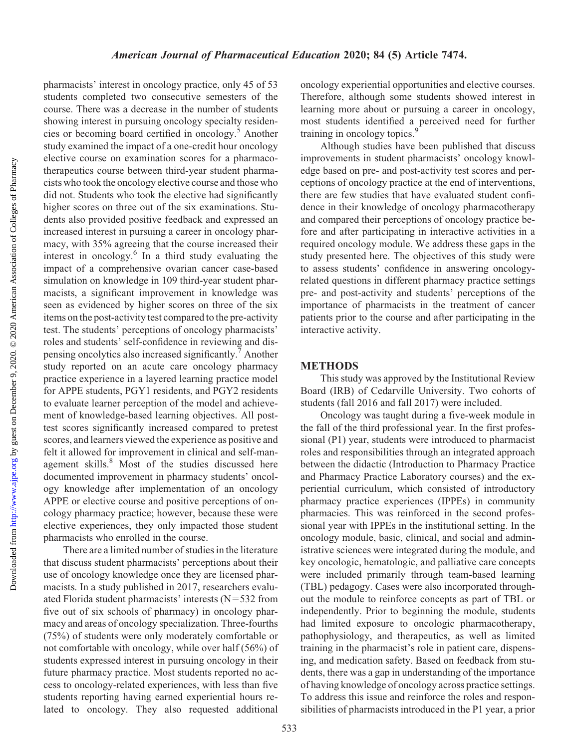pharmacists' interest in oncology practice, only 45 of 53 students completed two consecutive semesters of the course. There was a decrease in the number of students showing interest in pursuing oncology specialty residencies or becoming board certified in oncology.<sup>5</sup> Another study examined the impact of a one-credit hour oncology elective course on examination scores for a pharmacotherapeutics course between third-year student pharmacists who took the oncology elective course and those who did not. Students who took the elective had significantly higher scores on three out of the six examinations. Students also provided positive feedback and expressed an increased interest in pursuing a career in oncology pharmacy, with 35% agreeing that the course increased their interest in oncology. $6 \text{ In a third study evaluating the}$ impact of a comprehensive ovarian cancer case-based simulation on knowledge in 109 third-year student pharmacists, a significant improvement in knowledge was seen as evidenced by higher scores on three of the six items on the post-activity test compared to the pre-activity test. The students' perceptions of oncology pharmacists' roles and students' self-confidence in reviewing and dispensing oncolytics also increased significantly.<sup>7</sup> Another study reported on an acute care oncology pharmacy practice experience in a layered learning practice model for APPE students, PGY1 residents, and PGY2 residents to evaluate learner perception of the model and achievement of knowledge-based learning objectives. All posttest scores significantly increased compared to pretest scores, and learners viewed the experience as positive and felt it allowed for improvement in clinical and self-management skills.<sup>8</sup> Most of the studies discussed here documented improvement in pharmacy students' oncology knowledge after implementation of an oncology APPE or elective course and positive perceptions of oncology pharmacy practice; however, because these were elective experiences, they only impacted those student pharmacists who enrolled in the course.

There are a limited number of studies in the literature that discuss student pharmacists' perceptions about their use of oncology knowledge once they are licensed pharmacists. In a study published in 2017, researchers evaluated Florida student pharmacists' interests  $(N=532$  from five out of six schools of pharmacy) in oncology pharmacy and areas of oncology specialization. Three-fourths (75%) of students were only moderately comfortable or not comfortable with oncology, while over half (56%) of students expressed interest in pursuing oncology in their future pharmacy practice. Most students reported no access to oncology-related experiences, with less than five students reporting having earned experiential hours related to oncology. They also requested additional

oncology experiential opportunities and elective courses. Therefore, although some students showed interest in learning more about or pursuing a career in oncology, most students identified a perceived need for further training in oncology topics.<sup>9</sup>

Although studies have been published that discuss improvements in student pharmacists' oncology knowledge based on pre- and post-activity test scores and perceptions of oncology practice at the end of interventions, there are few studies that have evaluated student confidence in their knowledge of oncology pharmacotherapy and compared their perceptions of oncology practice before and after participating in interactive activities in a required oncology module. We address these gaps in the study presented here. The objectives of this study were to assess students' confidence in answering oncologyrelated questions in different pharmacy practice settings pre- and post-activity and students' perceptions of the importance of pharmacists in the treatment of cancer patients prior to the course and after participating in the interactive activity.

#### METHODS

This study was approved by the Institutional Review Board (IRB) of Cedarville University. Two cohorts of students (fall 2016 and fall 2017) were included.

Oncology was taught during a five-week module in the fall of the third professional year. In the first professional (P1) year, students were introduced to pharmacist roles and responsibilities through an integrated approach between the didactic (Introduction to Pharmacy Practice and Pharmacy Practice Laboratory courses) and the experiential curriculum, which consisted of introductory pharmacy practice experiences (IPPEs) in community pharmacies. This was reinforced in the second professional year with IPPEs in the institutional setting. In the oncology module, basic, clinical, and social and administrative sciences were integrated during the module, and key oncologic, hematologic, and palliative care concepts were included primarily through team-based learning (TBL) pedagogy. Cases were also incorporated throughout the module to reinforce concepts as part of TBL or independently. Prior to beginning the module, students had limited exposure to oncologic pharmacotherapy, pathophysiology, and therapeutics, as well as limited training in the pharmacist's role in patient care, dispensing, and medication safety. Based on feedback from students, there was a gap in understanding of the importance of having knowledge of oncology across practice settings. To address this issue and reinforce the roles and responsibilities of pharmacists introduced in the P1 year, a prior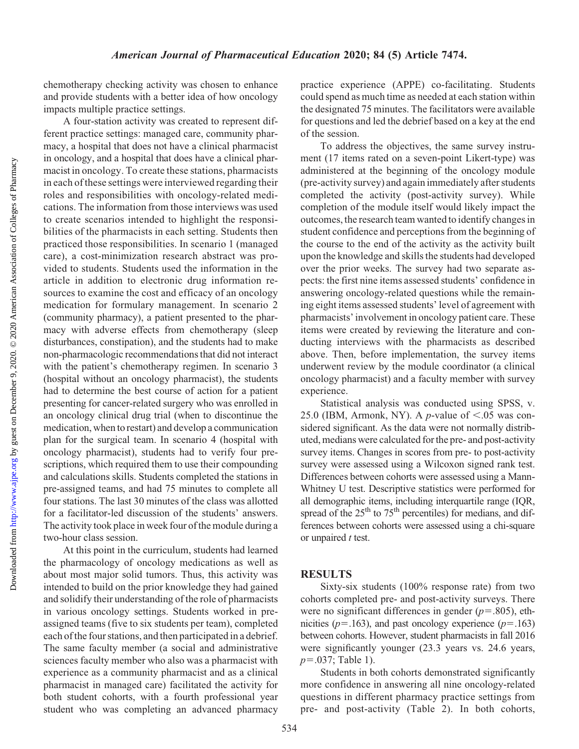chemotherapy checking activity was chosen to enhance and provide students with a better idea of how oncology impacts multiple practice settings.

A four-station activity was created to represent different practice settings: managed care, community pharmacy, a hospital that does not have a clinical pharmacist in oncology, and a hospital that does have a clinical pharmacist in oncology. To create these stations, pharmacists in each of these settings were interviewed regarding their roles and responsibilities with oncology-related medications. The information from those interviews was used to create scenarios intended to highlight the responsibilities of the pharmacists in each setting. Students then practiced those responsibilities. In scenario 1 (managed care), a cost-minimization research abstract was provided to students. Students used the information in the article in addition to electronic drug information resources to examine the cost and efficacy of an oncology medication for formulary management. In scenario 2 (community pharmacy), a patient presented to the pharmacy with adverse effects from chemotherapy (sleep disturbances, constipation), and the students had to make non-pharmacologic recommendations that did not interact with the patient's chemotherapy regimen. In scenario 3 (hospital without an oncology pharmacist), the students had to determine the best course of action for a patient presenting for cancer-related surgery who was enrolled in an oncology clinical drug trial (when to discontinue the medication, when to restart) and develop a communication plan for the surgical team. In scenario 4 (hospital with oncology pharmacist), students had to verify four prescriptions, which required them to use their compounding and calculations skills. Students completed the stations in pre-assigned teams, and had 75 minutes to complete all four stations. The last 30 minutes of the class was allotted for a facilitator-led discussion of the students' answers. The activity took place in week four of the module during a two-hour class session.

At this point in the curriculum, students had learned the pharmacology of oncology medications as well as about most major solid tumors. Thus, this activity was intended to build on the prior knowledge they had gained and solidify their understanding of the role of pharmacists in various oncology settings. Students worked in preassigned teams (five to six students per team), completed each of the four stations, and then participated in a debrief. The same faculty member (a social and administrative sciences faculty member who also was a pharmacist with experience as a community pharmacist and as a clinical pharmacist in managed care) facilitated the activity for both student cohorts, with a fourth professional year student who was completing an advanced pharmacy

practice experience (APPE) co-facilitating. Students could spend as much time as needed at each station within the designated 75 minutes. The facilitators were available for questions and led the debrief based on a key at the end of the session. To address the objectives, the same survey instru-

ment (17 items rated on a seven-point Likert-type) was administered at the beginning of the oncology module (pre-activity survey) and again immediately after students completed the activity (post-activity survey). While completion of the module itself would likely impact the outcomes, the research team wanted to identify changes in student confidence and perceptions from the beginning of the course to the end of the activity as the activity built upon the knowledge and skills the students had developed over the prior weeks. The survey had two separate aspects: the first nine items assessed students' confidence in answering oncology-related questions while the remaining eight items assessed students' level of agreement with pharmacists' involvement in oncology patient care. These items were created by reviewing the literature and conducting interviews with the pharmacists as described above. Then, before implementation, the survey items underwent review by the module coordinator (a clinical oncology pharmacist) and a faculty member with survey experience.

Statistical analysis was conducted using SPSS, v. 25.0 (IBM, Armonk, NY). A *p*-value of  $\lt$ .05 was considered significant. As the data were not normally distributed, medians were calculated for the pre- and post-activity survey items. Changes in scores from pre- to post-activity survey were assessed using a Wilcoxon signed rank test. Differences between cohorts were assessed using a Mann-Whitney U test. Descriptive statistics were performed for all demographic items, including interquartile range (IQR, spread of the  $25<sup>th</sup>$  to  $75<sup>th</sup>$  percentiles) for medians, and differences between cohorts were assessed using a chi-square or unpaired  $t$  test.

#### RESULTS

Sixty-six students (100% response rate) from two cohorts completed pre- and post-activity surveys. There were no significant differences in gender ( $p=.805$ ), ethnicities ( $p=163$ ), and past oncology experience ( $p=163$ ) between cohorts. However, student pharmacists in fall 2016 were significantly younger (23.3 years vs. 24.6 years,  $p=.037;$  Table 1).

Students in both cohorts demonstrated significantly more confidence in answering all nine oncology-related questions in different pharmacy practice settings from pre- and post-activity (Table 2). In both cohorts,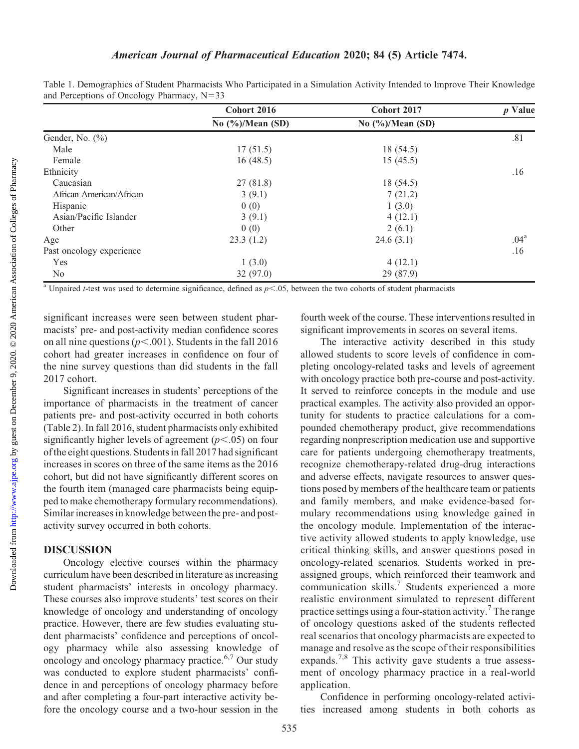|                          | Cohort 2016                   | Cohort 2017                 | <i>p</i> Value   |
|--------------------------|-------------------------------|-----------------------------|------------------|
|                          | No $(\frac{6}{6})$ /Mean (SD) | No $\frac{6}{2}$ /Mean (SD) |                  |
| Gender, No. (%)          |                               |                             | .81              |
| Male                     | 17(51.5)                      | 18 (54.5)                   |                  |
| Female                   | 16(48.5)                      | 15(45.5)                    |                  |
| Ethnicity                |                               |                             | .16              |
| Caucasian                | 27(81.8)                      | 18 (54.5)                   |                  |
| African American/African | 3(9.1)                        | 7(21.2)                     |                  |
| Hispanic                 | 0(0)                          | 1(3.0)                      |                  |
| Asian/Pacific Islander   | 3(9.1)                        | 4(12.1)                     |                  |
| Other                    | 0(0)                          | 2(6.1)                      |                  |
| Age                      | 23.3(1.2)                     | 24.6(3.1)                   | .04 <sup>a</sup> |
| Past oncology experience |                               |                             | .16              |
| Yes                      | 1(3.0)                        | 4(12.1)                     |                  |
| No                       | 32(97.0)                      | 29 (87.9)                   |                  |

Table 1. Demographics of Student Pharmacists Who Participated in a Simulation Activity Intended to Improve Their Knowledge and Perceptions of Oncology Pharmacy,  $N=33$ 

<sup>a</sup> Unpaired *t*-test was used to determine significance, defined as  $p<0.05$ , between the two cohorts of student pharmacists

significant increases were seen between student pharmacists' pre- and post-activity median confidence scores on all nine questions ( $p<.001$ ). Students in the fall 2016 cohort had greater increases in confidence on four of the nine survey questions than did students in the fall 2017 cohort.

Significant increases in students' perceptions of the importance of pharmacists in the treatment of cancer patients pre- and post-activity occurred in both cohorts (Table 2). In fall 2016, student pharmacists only exhibited significantly higher levels of agreement  $(p<.05)$  on four of the eight questions. Students in fall 2017 had significant increases in scores on three of the same items as the 2016 cohort, but did not have significantly different scores on the fourth item (managed care pharmacists being equipped to make chemotherapy formulary recommendations). Similar increases in knowledge between the pre- and postactivity survey occurred in both cohorts.

#### DISCUSSION

Oncology elective courses within the pharmacy curriculum have been described in literature as increasing student pharmacists' interests in oncology pharmacy. These courses also improve students' test scores on their knowledge of oncology and understanding of oncology practice. However, there are few studies evaluating student pharmacists' confidence and perceptions of oncology pharmacy while also assessing knowledge of oncology and oncology pharmacy practice.<sup>6,7</sup> Our study was conducted to explore student pharmacists' confidence in and perceptions of oncology pharmacy before and after completing a four-part interactive activity before the oncology course and a two-hour session in the

fourth week of the course. These interventions resulted in significant improvements in scores on several items.

The interactive activity described in this study allowed students to score levels of confidence in completing oncology-related tasks and levels of agreement with oncology practice both pre-course and post-activity. It served to reinforce concepts in the module and use practical examples. The activity also provided an opportunity for students to practice calculations for a compounded chemotherapy product, give recommendations regarding nonprescription medication use and supportive care for patients undergoing chemotherapy treatments, recognize chemotherapy-related drug-drug interactions and adverse effects, navigate resources to answer questions posed by members of the healthcare team or patients and family members, and make evidence-based formulary recommendations using knowledge gained in the oncology module. Implementation of the interactive activity allowed students to apply knowledge, use critical thinking skills, and answer questions posed in oncology-related scenarios. Students worked in preassigned groups, which reinforced their teamwork and communication skills.<sup>7</sup> Students experienced a more realistic environment simulated to represent different practice settings using a four-station activity.<sup>7</sup> The range of oncology questions asked of the students reflected real scenarios that oncology pharmacists are expected to manage and resolve as the scope of their responsibilities expands.<sup>7,8</sup> This activity gave students a true assessment of oncology pharmacy practice in a real-world application.

Confidence in performing oncology-related activities increased among students in both cohorts as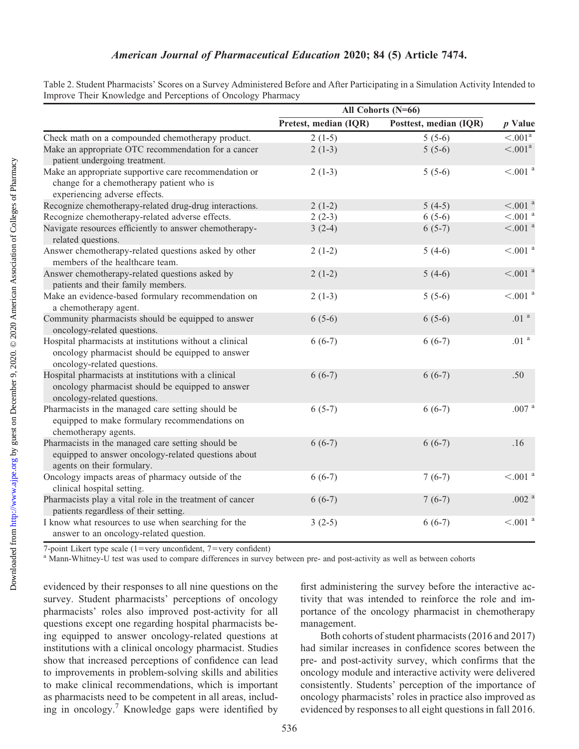|                                                                                                                                            | All Cohorts (N=66)    |                        |                                 |
|--------------------------------------------------------------------------------------------------------------------------------------------|-----------------------|------------------------|---------------------------------|
|                                                                                                                                            | Pretest, median (IQR) | Posttest, median (IQR) | $p$ Value                       |
| Check math on a compounded chemotherapy product.                                                                                           | $2(1-5)$              | $5(5-6)$               | $\overline{< 001^{\mathrm{a}}}$ |
| Make an appropriate OTC recommendation for a cancer<br>patient undergoing treatment.                                                       | $2(1-3)$              | $5(5-6)$               | < .001 <sup>a</sup>             |
| Make an appropriate supportive care recommendation or<br>change for a chemotherapy patient who is<br>experiencing adverse effects.         | $2(1-3)$              | $5(5-6)$               | $< .001$ $^{\rm a}$             |
| Recognize chemotherapy-related drug-drug interactions.                                                                                     | $2(1-2)$              | $5(4-5)$               | $< 0.01$ <sup>a</sup>           |
| Recognize chemotherapy-related adverse effects.                                                                                            | $2(2-3)$              | $6(5-6)$               | $< 0.01$ <sup>a</sup>           |
| Navigate resources efficiently to answer chemotherapy-<br>related questions.                                                               | $3(2-4)$              | $6(5-7)$               | $< 0.01$ $^{\rm a}$             |
| Answer chemotherapy-related questions asked by other<br>members of the healthcare team.                                                    | $2(1-2)$              | $5(4-6)$               | $< 0.01$ <sup>a</sup>           |
| Answer chemotherapy-related questions asked by<br>patients and their family members.                                                       | $2(1-2)$              | $5(4-6)$               | $< 0.01$ $^{\rm a}$             |
| Make an evidence-based formulary recommendation on<br>a chemotherapy agent.                                                                | $2(1-3)$              | $5(5-6)$               | $<\!\!.001$ $^{\rm a}$          |
| Community pharmacists should be equipped to answer<br>oncology-related questions.                                                          | $6(5-6)$              | $6(5-6)$               | .01 <sup>a</sup>                |
| Hospital pharmacists at institutions without a clinical<br>oncology pharmacist should be equipped to answer<br>oncology-related questions. | $6(6-7)$              | $6(6-7)$               | .01 <sup>a</sup>                |
| Hospital pharmacists at institutions with a clinical<br>oncology pharmacist should be equipped to answer<br>oncology-related questions.    | $6(6-7)$              | $6(6-7)$               | .50                             |
| Pharmacists in the managed care setting should be<br>equipped to make formulary recommendations on<br>chemotherapy agents.                 | $6(5-7)$              | $6(6-7)$               | .007 <sup>a</sup>               |
| Pharmacists in the managed care setting should be<br>equipped to answer oncology-related questions about<br>agents on their formulary.     | $6(6-7)$              | $6(6-7)$               | .16                             |
| Oncology impacts areas of pharmacy outside of the<br>clinical hospital setting.                                                            | $6(6-7)$              | $7(6-7)$               | $< 0.01$ $^{\rm a}$             |
| Pharmacists play a vital role in the treatment of cancer<br>patients regardless of their setting.                                          | $6(6-7)$              | $7(6-7)$               | .002 $^{\mathrm{a}}$            |
| I know what resources to use when searching for the<br>answer to an oncology-related question.                                             | $3(2-5)$              | $6(6-7)$               | $< 0.01$ <sup>a</sup>           |

Table 2. Student Pharmacists' Scores on a Survey Administered Before and After Participating in a Simulation Activity Intended to Improve Their Knowledge and Perceptions of Oncology Pharmacy

7-point Likert type scale (1=very unconfident, 7=very confident)  $a^a$  Mann-Whitney-U test was used to compare differences in survey between pre- and post-activity as well as between cohorts

evidenced by their responses to all nine questions on the survey. Student pharmacists' perceptions of oncology pharmacists' roles also improved post-activity for all questions except one regarding hospital pharmacists being equipped to answer oncology-related questions at institutions with a clinical oncology pharmacist. Studies show that increased perceptions of confidence can lead to improvements in problem-solving skills and abilities to make clinical recommendations, which is important as pharmacists need to be competent in all areas, including in oncology.7 Knowledge gaps were identified by

first administering the survey before the interactive activity that was intended to reinforce the role and importance of the oncology pharmacist in chemotherapy management.

Both cohorts of student pharmacists (2016 and 2017) had similar increases in confidence scores between the pre- and post-activity survey, which confirms that the oncology module and interactive activity were delivered consistently. Students' perception of the importance of oncology pharmacists' roles in practice also improved as evidenced by responses to all eight questions in fall 2016.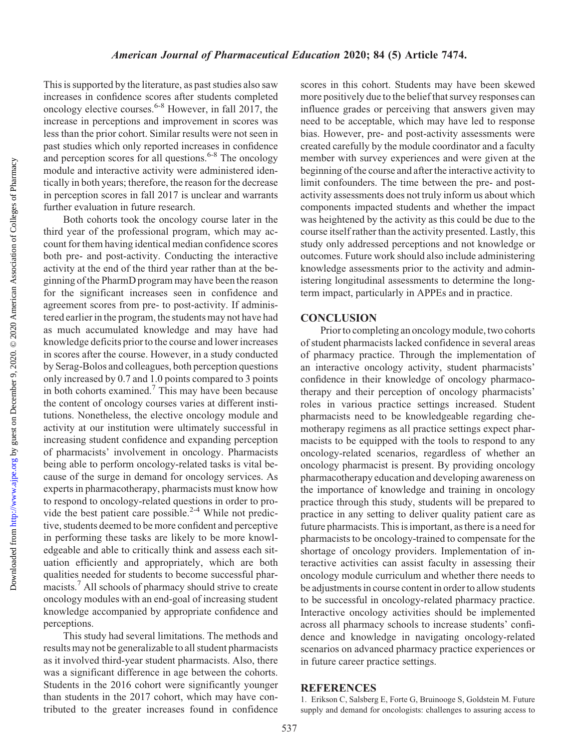Downloaded from

This is supported by the literature, as past studies also saw increases in confidence scores after students completed oncology elective courses.<sup>6-8</sup> However, in fall 2017, the increase in perceptions and improvement in scores was less than the prior cohort. Similar results were not seen in past studies which only reported increases in confidence and perception scores for all questions.<sup>6-8</sup> The oncology module and interactive activity were administered identically in both years; therefore, the reason for the decrease in perception scores in fall 2017 is unclear and warrants further evaluation in future research.

Both cohorts took the oncology course later in the third year of the professional program, which may account for them having identical median confidence scores both pre- and post-activity. Conducting the interactive activity at the end of the third year rather than at the beginning of the PharmD program may have been the reason for the significant increases seen in confidence and agreement scores from pre- to post-activity. If administered earlier in the program, the students may not have had as much accumulated knowledge and may have had knowledge deficits prior to the course and lower increases in scores after the course. However, in a study conducted by Serag-Bolos and colleagues, both perception questions only increased by 0.7 and 1.0 points compared to 3 points in both cohorts examined.7 This may have been because the content of oncology courses varies at different institutions. Nonetheless, the elective oncology module and activity at our institution were ultimately successful in increasing student confidence and expanding perception of pharmacists' involvement in oncology. Pharmacists being able to perform oncology-related tasks is vital because of the surge in demand for oncology services. As experts in pharmacotherapy, pharmacists must know how to respond to oncology-related questions in order to provide the best patient care possible.<sup>2-4</sup> While not predictive, students deemed to be more confident and perceptive in performing these tasks are likely to be more knowledgeable and able to critically think and assess each situation efficiently and appropriately, which are both qualities needed for students to become successful pharmacists.7 All schools of pharmacy should strive to create oncology modules with an end-goal of increasing student knowledge accompanied by appropriate confidence and perceptions.

This study had several limitations. The methods and results may not be generalizable to all student pharmacists as it involved third-year student pharmacists. Also, there was a significant difference in age between the cohorts. Students in the 2016 cohort were significantly younger than students in the 2017 cohort, which may have contributed to the greater increases found in confidence scores in this cohort. Students may have been skewed more positively due to the belief that survey responses can influence grades or perceiving that answers given may need to be acceptable, which may have led to response bias. However, pre- and post-activity assessments were created carefully by the module coordinator and a faculty member with survey experiences and were given at the beginning of the course and after the interactive activity to limit confounders. The time between the pre- and postactivity assessments does not truly inform us about which components impacted students and whether the impact was heightened by the activity as this could be due to the course itself rather than the activity presented. Lastly, this study only addressed perceptions and not knowledge or outcomes. Future work should also include administering knowledge assessments prior to the activity and administering longitudinal assessments to determine the longterm impact, particularly in APPEs and in practice.

#### **CONCLUSION**

Prior to completing an oncology module, two cohorts of student pharmacists lacked confidence in several areas of pharmacy practice. Through the implementation of an interactive oncology activity, student pharmacists' confidence in their knowledge of oncology pharmacotherapy and their perception of oncology pharmacists' roles in various practice settings increased. Student pharmacists need to be knowledgeable regarding chemotherapy regimens as all practice settings expect pharmacists to be equipped with the tools to respond to any oncology-related scenarios, regardless of whether an oncology pharmacist is present. By providing oncology pharmacotherapy education and developing awareness on the importance of knowledge and training in oncology practice through this study, students will be prepared to practice in any setting to deliver quality patient care as future pharmacists. This is important, as there is a need for pharmacists to be oncology-trained to compensate for the shortage of oncology providers. Implementation of interactive activities can assist faculty in assessing their oncology module curriculum and whether there needs to be adjustments in course content in order to allow students to be successful in oncology-related pharmacy practice. Interactive oncology activities should be implemented across all pharmacy schools to increase students' confidence and knowledge in navigating oncology-related scenarios on advanced pharmacy practice experiences or in future career practice settings.

#### **REFERENCES**

1. Erikson C, Salsberg E, Forte G, Bruinooge S, Goldstein M. Future supply and demand for oncologists: challenges to assuring access to